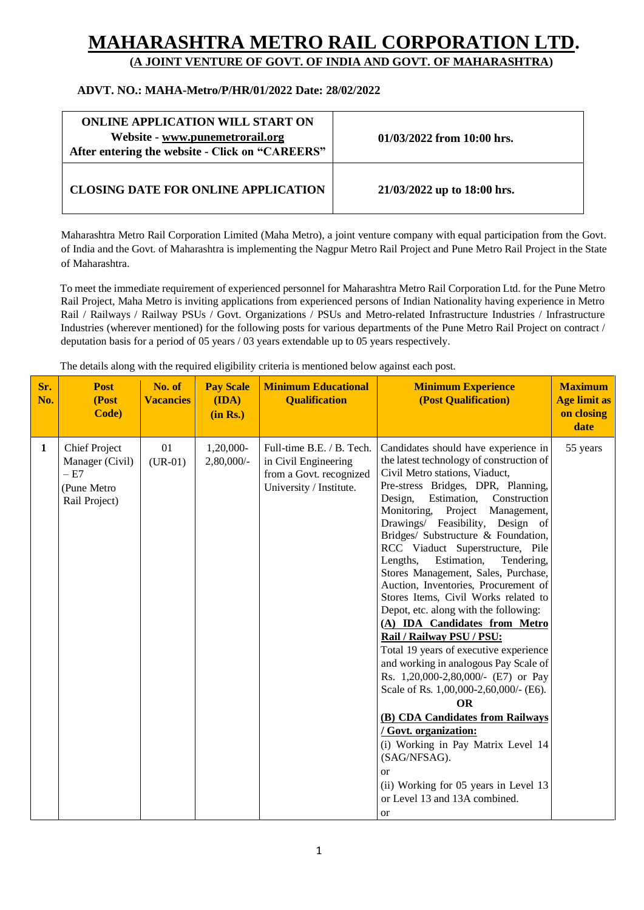## **MAHARASHTRA METRO RAIL CORPORAT**

**(A JOINT VENTURE OF GOVT. OF INDIA AND GOVT. OF MAHARASHTRA)**

## **ADVT. NO.: MAHA-Metro/P/HR/01/2022 Date: 28/02/2022**

| <b>ONLINE APPLICATION WILL START ON</b><br>Website - www.punemetrorail.org<br>After entering the website - Click on "CAREERS" | $01/03/2022$ from 10:00 hrs. |
|-------------------------------------------------------------------------------------------------------------------------------|------------------------------|
| <b>CLOSING DATE FOR ONLINE APPLICATION</b>                                                                                    | 21/03/2022 up to 18:00 hrs.  |

Maharashtra Metro Rail Corporation Limited (Maha Metro), a joint venture company with equal participation from the Govt. of India and the Govt. of Maharashtra is implementing the Nagpur Metro Rail Project and Pune Metro Rail Project in the State of Maharashtra.

To meet the immediate requirement of experienced personnel for Maharashtra Metro Rail Corporation Ltd. for the Pune Metro Rail Project, Maha Metro is inviting applications from experienced persons of Indian Nationality having experience in Metro Rail / Railways / Railway PSUs / Govt. Organizations / PSUs and Metro-related Infrastructure Industries / Infrastructure Industries (wherever mentioned) for the following posts for various departments of the Pune Metro Rail Project on contract / deputation basis for a period of 05 years / 03 years extendable up to 05 years respectively.

The details along with the required eligibility criteria is mentioned below against each post.

| Sr.<br>No. | <b>Post</b><br>(Post<br>Code)                                                    | No. of<br><b>Vacancies</b> | <b>Pay Scale</b><br>(IDA)<br>(in Rs.) | <b>Minimum Educational</b><br><b>Qualification</b>                                                      | <b>Minimum Experience</b><br>(Post Qualification)                                                                                                                                                                                                                                                                                                                                                                                                                                                                                                                                                                                                                                                                                                                                                                                                                                                                                                                                                                                             | <b>Maximum</b><br><b>Age limit as</b><br>on closing<br>date |
|------------|----------------------------------------------------------------------------------|----------------------------|---------------------------------------|---------------------------------------------------------------------------------------------------------|-----------------------------------------------------------------------------------------------------------------------------------------------------------------------------------------------------------------------------------------------------------------------------------------------------------------------------------------------------------------------------------------------------------------------------------------------------------------------------------------------------------------------------------------------------------------------------------------------------------------------------------------------------------------------------------------------------------------------------------------------------------------------------------------------------------------------------------------------------------------------------------------------------------------------------------------------------------------------------------------------------------------------------------------------|-------------------------------------------------------------|
| 1          | <b>Chief Project</b><br>Manager (Civil)<br>$-E7$<br>(Pune Metro<br>Rail Project) | 01<br>$(UR-01)$            | 1,20,000-<br>2,80,000/-               | Full-time B.E. / B. Tech.<br>in Civil Engineering<br>from a Govt. recognized<br>University / Institute. | Candidates should have experience in<br>the latest technology of construction of<br>Civil Metro stations, Viaduct,<br>Pre-stress Bridges, DPR, Planning,<br>Construction<br>Design,<br>Estimation,<br>Monitoring,<br>Project<br>Management,<br>Drawings/ Feasibility, Design of<br>Bridges/ Substructure & Foundation,<br>RCC Viaduct Superstructure, Pile<br>Lengths,<br>Estimation,<br>Tendering,<br>Stores Management, Sales, Purchase,<br>Auction, Inventories, Procurement of<br>Stores Items, Civil Works related to<br>Depot, etc. along with the following:<br>(A) IDA Candidates from Metro<br>Rail / Railway PSU / PSU:<br>Total 19 years of executive experience<br>and working in analogous Pay Scale of<br>Rs. 1,20,000-2,80,000/- (E7) or Pay<br>Scale of Rs. 1,00,000-2,60,000/- (E6).<br><b>OR</b><br>(B) CDA Candidates from Railways<br>/ Govt. organization:<br>(i) Working in Pay Matrix Level 14<br>(SAG/NFSAG).<br><sub>or</sub><br>(ii) Working for 05 years in Level 13<br>or Level 13 and 13A combined.<br><b>or</b> | 55 years                                                    |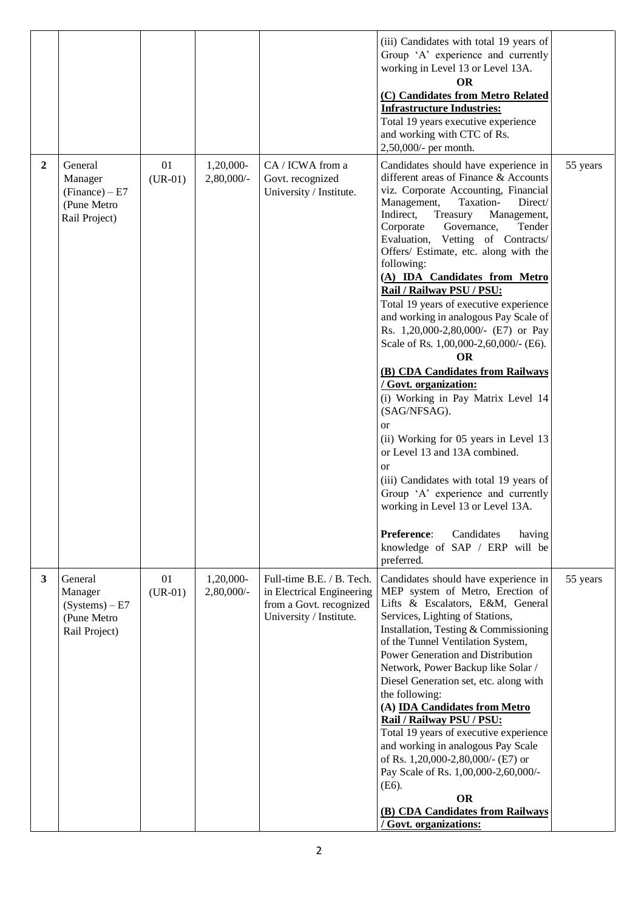|                |                                                                        |                 |                            |                                                                                                              | (iii) Candidates with total 19 years of<br>Group 'A' experience and currently<br>working in Level 13 or Level 13A.<br><b>OR</b><br>(C) Candidates from Metro Related<br><b>Infrastructure Industries:</b><br>Total 19 years executive experience<br>and working with CTC of Rs.<br>2,50,000/- per month.                                                                                                                                                                                                                                                                                                                                                                                                                                                                                                                                                                                                                                                                                                                          |          |
|----------------|------------------------------------------------------------------------|-----------------|----------------------------|--------------------------------------------------------------------------------------------------------------|-----------------------------------------------------------------------------------------------------------------------------------------------------------------------------------------------------------------------------------------------------------------------------------------------------------------------------------------------------------------------------------------------------------------------------------------------------------------------------------------------------------------------------------------------------------------------------------------------------------------------------------------------------------------------------------------------------------------------------------------------------------------------------------------------------------------------------------------------------------------------------------------------------------------------------------------------------------------------------------------------------------------------------------|----------|
| $\overline{2}$ | General<br>Manager<br>$(Finance) - E7$<br>(Pune Metro<br>Rail Project) | 01<br>$(UR-01)$ | 1,20,000-<br>2,80,000/-    | CA / ICWA from a<br>Govt. recognized<br>University / Institute.                                              | Candidates should have experience in<br>different areas of Finance & Accounts<br>viz. Corporate Accounting, Financial<br>Management,<br>Direct/<br>Taxation-<br>Indirect,<br>Treasury<br>Management,<br>Governance,<br>Corporate<br>Tender<br>Evaluation, Vetting of Contracts/<br>Offers/ Estimate, etc. along with the<br>following:<br>(A) IDA Candidates from Metro<br>Rail / Railway PSU / PSU:<br>Total 19 years of executive experience<br>and working in analogous Pay Scale of<br>Rs. 1,20,000-2,80,000/- (E7) or Pay<br>Scale of Rs. 1,00,000-2,60,000/- (E6).<br><b>OR</b><br>(B) CDA Candidates from Railways<br>/ Govt. organization:<br>(i) Working in Pay Matrix Level 14<br>(SAG/NFSAG).<br><sub>or</sub><br>(ii) Working for 05 years in Level 13<br>or Level 13 and 13A combined.<br><sub>or</sub><br>(iii) Candidates with total 19 years of<br>Group 'A' experience and currently<br>working in Level 13 or Level 13A.<br>Preference:<br>Candidates<br>having<br>knowledge of SAP / ERP will be<br>preferred. | 55 years |
| $\mathbf{3}$   | General<br>Manager<br>(Systems) – E7<br>(Pune Metro<br>Rail Project)   | 01<br>$(UR-01)$ | 1,20,000-<br>$2,80,000/$ - | Full-time B.E. / B. Tech.<br>in Electrical Engineering<br>from a Govt. recognized<br>University / Institute. | Candidates should have experience in<br>MEP system of Metro, Erection of<br>Lifts & Escalators, E&M, General<br>Services, Lighting of Stations,<br>Installation, Testing & Commissioning<br>of the Tunnel Ventilation System,<br>Power Generation and Distribution<br>Network, Power Backup like Solar /<br>Diesel Generation set, etc. along with<br>the following:<br>(A) <b>IDA Candidates from Metro</b><br>Rail / Railway PSU / PSU:<br>Total 19 years of executive experience<br>and working in analogous Pay Scale<br>of Rs. 1,20,000-2,80,000/- (E7) or<br>Pay Scale of Rs. 1,00,000-2,60,000/-<br>$(E6)$ .<br><b>OR</b><br>(B) CDA Candidates from Railways<br>/ Govt. organizations:                                                                                                                                                                                                                                                                                                                                    | 55 years |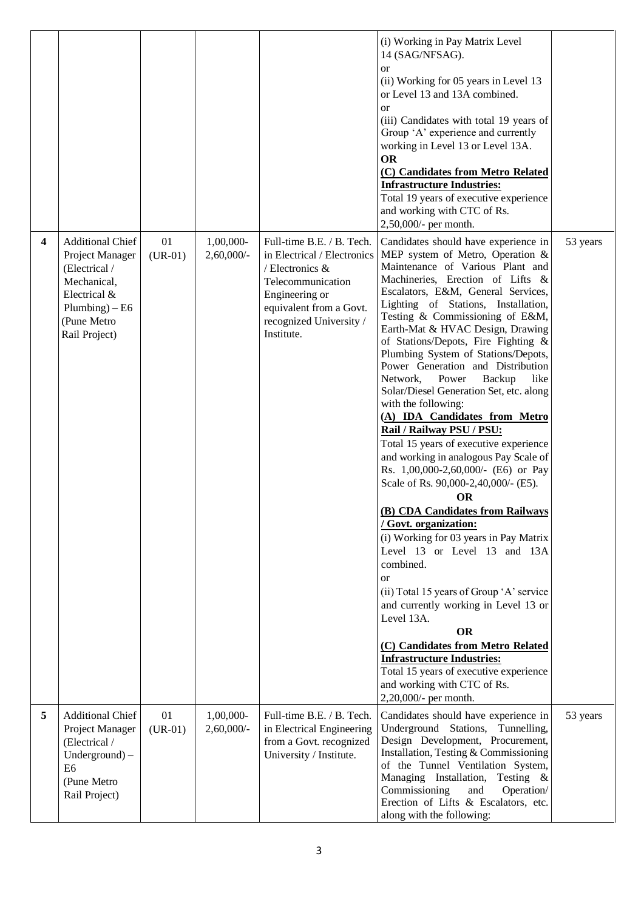|                         |                                                                                                                                                 |                 |                            |                                                                                                                                                                                        | (i) Working in Pay Matrix Level<br>14 (SAG/NFSAG).<br><b>or</b><br>(ii) Working for 05 years in Level 13<br>or Level 13 and 13A combined.<br><sub>or</sub><br>(iii) Candidates with total 19 years of<br>Group 'A' experience and currently<br>working in Level 13 or Level 13A.<br><b>OR</b><br>(C) Candidates from Metro Related<br><b>Infrastructure Industries:</b><br>Total 19 years of executive experience<br>and working with CTC of Rs.<br>2,50,000/- per month.                                                                                                                                                                                                                                                                                                                                                                                                                                                                                                                                                                                                                                                                                                                                                                 |          |
|-------------------------|-------------------------------------------------------------------------------------------------------------------------------------------------|-----------------|----------------------------|----------------------------------------------------------------------------------------------------------------------------------------------------------------------------------------|-------------------------------------------------------------------------------------------------------------------------------------------------------------------------------------------------------------------------------------------------------------------------------------------------------------------------------------------------------------------------------------------------------------------------------------------------------------------------------------------------------------------------------------------------------------------------------------------------------------------------------------------------------------------------------------------------------------------------------------------------------------------------------------------------------------------------------------------------------------------------------------------------------------------------------------------------------------------------------------------------------------------------------------------------------------------------------------------------------------------------------------------------------------------------------------------------------------------------------------------|----------|
| $\overline{\mathbf{4}}$ | <b>Additional Chief</b><br>Project Manager<br>(Electrical /<br>Mechanical,<br>Electrical &<br>$Plumbing$ ) – E6<br>(Pune Metro<br>Rail Project) | 01<br>$(UR-01)$ | 1,00,000-<br>$2,60,000/$ - | Full-time B.E. / B. Tech.<br>in Electrical / Electronics<br>/ Electronics &<br>Telecommunication<br>Engineering or<br>equivalent from a Govt.<br>recognized University /<br>Institute. | Candidates should have experience in<br>MEP system of Metro, Operation $\&$<br>Maintenance of Various Plant and<br>Machineries, Erection of Lifts &<br>Escalators, E&M, General Services,<br>Lighting of Stations, Installation,<br>Testing & Commissioning of E&M,<br>Earth-Mat & HVAC Design, Drawing<br>of Stations/Depots, Fire Fighting &<br>Plumbing System of Stations/Depots,<br>Power Generation and Distribution<br>Network,<br>Power<br>Backup<br>like<br>Solar/Diesel Generation Set, etc. along<br>with the following:<br>(A) IDA Candidates from Metro<br>Rail / Railway PSU / PSU:<br>Total 15 years of executive experience<br>and working in analogous Pay Scale of<br>Rs. 1,00,000-2,60,000/- (E6) or Pay<br>Scale of Rs. 90,000-2,40,000/- (E5).<br><b>OR</b><br>(B) CDA Candidates from Railways<br>Govt. organization:<br>(i) Working for 03 years in Pay Matrix<br>Level 13 or Level 13 and 13A<br>combined.<br>$\alpha$<br>(ii) Total 15 years of Group 'A' service<br>and currently working in Level 13 or<br>Level 13A.<br><b>OR</b><br>(C) Candidates from Metro Related<br><b>Infrastructure Industries:</b><br>Total 15 years of executive experience<br>and working with CTC of Rs.<br>2,20,000/- per month. | 53 years |
| 5                       | <b>Additional Chief</b><br>Project Manager<br>(Electrical /<br>$Underground) -$<br>E <sub>6</sub><br>(Pune Metro<br>Rail Project)               | 01<br>$(UR-01)$ | 1,00,000-<br>$2,60,000/$ - | Full-time B.E. / B. Tech.<br>in Electrical Engineering<br>from a Govt. recognized<br>University / Institute.                                                                           | Candidates should have experience in<br>Underground Stations,<br>Tunnelling,<br>Design Development, Procurement,<br>Installation, Testing & Commissioning<br>of the Tunnel Ventilation System,<br>Managing Installation,<br>Testing $\&$<br>Commissioning<br>Operation/<br>and<br>Erection of Lifts & Escalators, etc.<br>along with the following:                                                                                                                                                                                                                                                                                                                                                                                                                                                                                                                                                                                                                                                                                                                                                                                                                                                                                       | 53 years |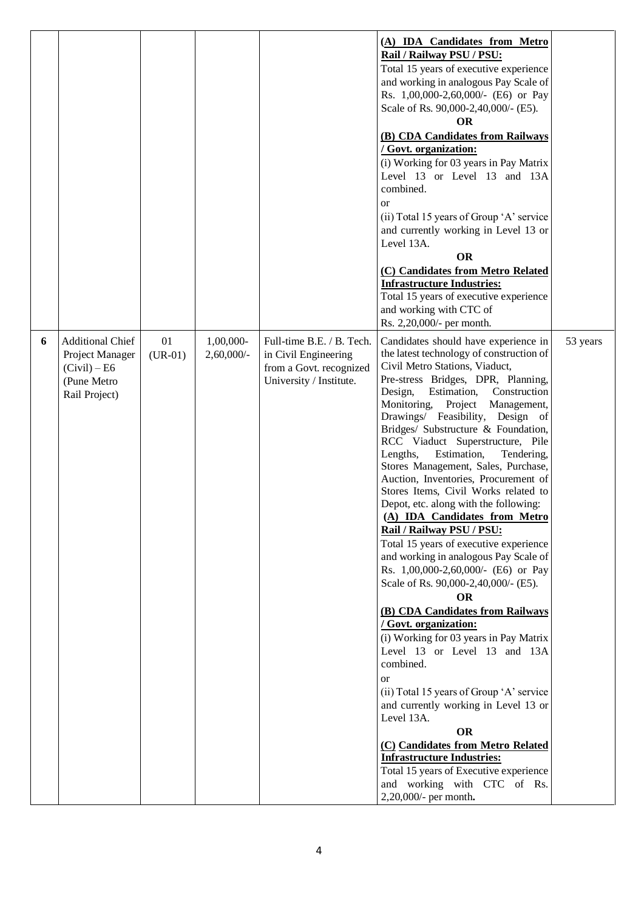|   |                                                                                            |                 |                            |                                                                                                         | (A) IDA Candidates from Metro<br>Rail / Railway PSU / PSU:<br>Total 15 years of executive experience<br>and working in analogous Pay Scale of<br>Rs. 1,00,000-2,60,000/- (E6) or Pay<br>Scale of Rs. 90,000-2,40,000/- (E5).<br><b>OR</b><br>(B) CDA Candidates from Railways<br>/ Govt. organization:<br>(i) Working for 03 years in Pay Matrix<br>Level 13 or Level 13 and 13A<br>combined.<br><b>or</b><br>(ii) Total 15 years of Group 'A' service<br>and currently working in Level 13 or<br>Level 13A.<br><b>OR</b><br>(C) Candidates from Metro Related<br><b>Infrastructure Industries:</b><br>Total 15 years of executive experience<br>and working with CTC of<br>Rs. 2,20,000/- per month.                                                                                                                                                                                                                                                                                                                                                                                                                                                                                                                                                               |          |
|---|--------------------------------------------------------------------------------------------|-----------------|----------------------------|---------------------------------------------------------------------------------------------------------|---------------------------------------------------------------------------------------------------------------------------------------------------------------------------------------------------------------------------------------------------------------------------------------------------------------------------------------------------------------------------------------------------------------------------------------------------------------------------------------------------------------------------------------------------------------------------------------------------------------------------------------------------------------------------------------------------------------------------------------------------------------------------------------------------------------------------------------------------------------------------------------------------------------------------------------------------------------------------------------------------------------------------------------------------------------------------------------------------------------------------------------------------------------------------------------------------------------------------------------------------------------------|----------|
| 6 | <b>Additional Chief</b><br>Project Manager<br>(Civil) – E6<br>(Pune Metro<br>Rail Project) | 01<br>$(UR-01)$ | 1,00,000-<br>$2,60,000/$ - | Full-time B.E. / B. Tech.<br>in Civil Engineering<br>from a Govt. recognized<br>University / Institute. | Candidates should have experience in<br>the latest technology of construction of<br>Civil Metro Stations, Viaduct,<br>Pre-stress Bridges, DPR, Planning,<br>Estimation, Construction<br>Design,<br>Monitoring, Project Management,<br>Drawings/ Feasibility, Design of<br>Bridges/ Substructure & Foundation,<br>RCC Viaduct Superstructure, Pile<br>Estimation,<br>Lengths,<br>Tendering,<br>Stores Management, Sales, Purchase,<br>Auction, Inventories, Procurement of<br>Stores Items, Civil Works related to<br>Depot, etc. along with the following:<br>(A) IDA Candidates from Metro<br>Rail / Railway PSU / PSU:<br>Total 15 years of executive experience<br>and working in analogous Pay Scale of<br>Rs. 1,00,000-2,60,000/- (E6) or Pay<br>Scale of Rs. 90,000-2,40,000/- (E5).<br><b>OR</b><br>(B) CDA Candidates from Railways<br>/ Govt. organization:<br>(i) Working for 03 years in Pay Matrix<br>Level 13 or Level 13 and 13A<br>combined.<br><b>or</b><br>(ii) Total 15 years of Group 'A' service<br>and currently working in Level 13 or<br>Level 13A.<br><b>OR</b><br>(C) Candidates from Metro Related<br><b>Infrastructure Industries:</b><br>Total 15 years of Executive experience<br>and working with CTC of Rs.<br>2,20,000/- per month. | 53 years |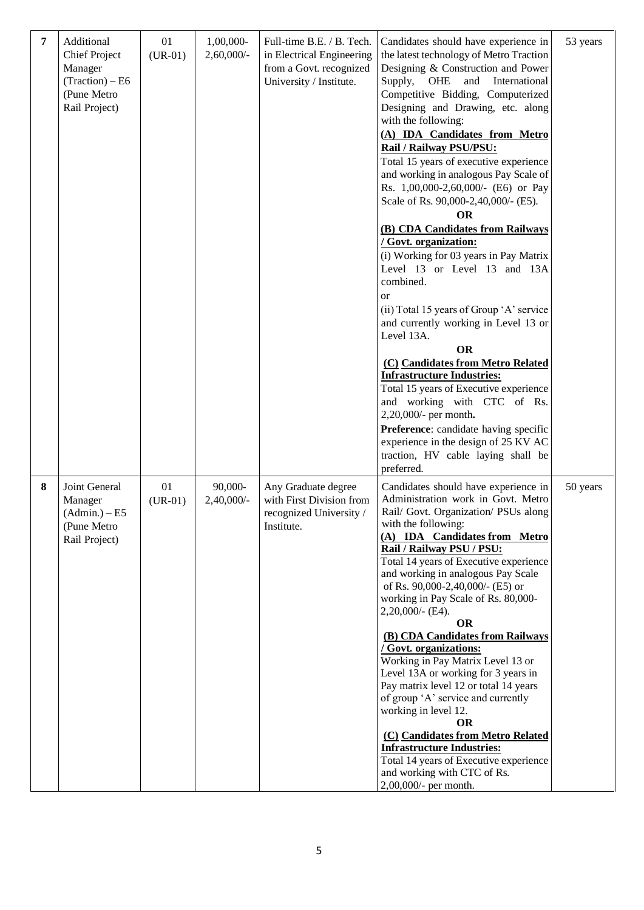| 7 | Additional<br><b>Chief Project</b><br>Manager<br>$(Traction) - E6$<br>(Pune Metro<br>Rail Project) | 01<br>$(UR-01)$ | 1,00,000-<br>$2,60,000/$ - | Full-time B.E. / B. Tech.<br>in Electrical Engineering<br>from a Govt. recognized<br>University / Institute. | Candidates should have experience in<br>the latest technology of Metro Traction<br>Designing & Construction and Power<br>and<br>International<br>Supply,<br>OHE<br>Competitive Bidding, Computerized<br>Designing and Drawing, etc. along<br>with the following:<br>(A) IDA Candidates from Metro<br>Rail / Railway PSU/PSU:<br>Total 15 years of executive experience<br>and working in analogous Pay Scale of<br>Rs. 1,00,000-2,60,000/- (E6) or Pay<br>Scale of Rs. 90,000-2,40,000/- (E5).<br><b>OR</b><br>(B) CDA Candidates from Railways<br><u>/ Govt. organization:</u><br>(i) Working for 03 years in Pay Matrix<br>Level 13 or Level 13 and 13A<br>combined.<br><b>or</b><br>(ii) Total 15 years of Group 'A' service<br>and currently working in Level 13 or<br>Level 13A.<br><b>OR</b><br>(C) Candidates from Metro Related<br><b>Infrastructure Industries:</b><br>Total 15 years of Executive experience<br>and working with CTC of Rs.<br>2,20,000/- per month.<br>Preference: candidate having specific<br>experience in the design of 25 KV AC<br>traction, HV cable laying shall be<br>preferred. | 53 years |
|---|----------------------------------------------------------------------------------------------------|-----------------|----------------------------|--------------------------------------------------------------------------------------------------------------|---------------------------------------------------------------------------------------------------------------------------------------------------------------------------------------------------------------------------------------------------------------------------------------------------------------------------------------------------------------------------------------------------------------------------------------------------------------------------------------------------------------------------------------------------------------------------------------------------------------------------------------------------------------------------------------------------------------------------------------------------------------------------------------------------------------------------------------------------------------------------------------------------------------------------------------------------------------------------------------------------------------------------------------------------------------------------------------------------------------------|----------|
| 8 | Joint General<br>Manager<br>$(Admin.) - E5$<br>(Pune Metro<br>Rail Project)                        | 01<br>$(UR-01)$ | 90,000-<br>$2,40,000/$ -   | Any Graduate degree<br>with First Division from<br>recognized University /<br>Institute.                     | Candidates should have experience in<br>Administration work in Govt. Metro<br>Rail/ Govt. Organization/ PSUs along<br>with the following:<br>(A) IDA Candidates from Metro<br>Rail / Railway PSU / PSU:<br>Total 14 years of Executive experience<br>and working in analogous Pay Scale<br>of Rs. 90,000-2,40,000/- (E5) or<br>working in Pay Scale of Rs. 80,000-<br>$2,20,000/$ - (E4).<br><b>OR</b><br>(B) CDA Candidates from Railways<br>/ Govt. organizations:<br>Working in Pay Matrix Level 13 or<br>Level 13A or working for 3 years in<br>Pay matrix level 12 or total 14 years<br>of group 'A' service and currently<br>working in level 12.<br><b>OR</b><br>(C) Candidates from Metro Related<br><b>Infrastructure Industries:</b><br>Total 14 years of Executive experience<br>and working with CTC of Rs.<br>2,00,000/- per month.                                                                                                                                                                                                                                                                    | 50 years |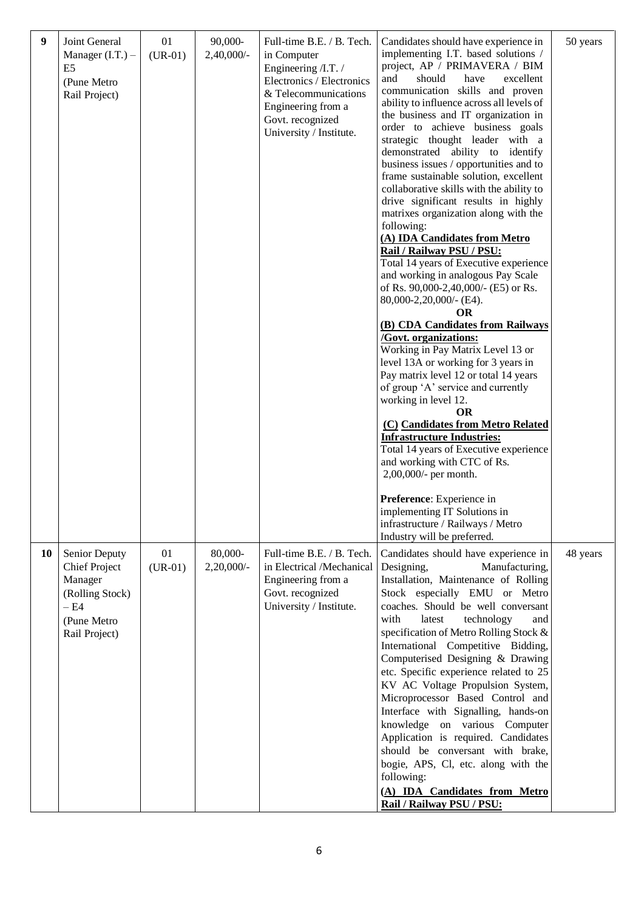| 9  | Joint General<br>Manager $(I.T.)$ –<br>E <sub>5</sub><br>(Pune Metro<br>Rail Project)                        | 01<br>$(UR-01)$ | 90,000-<br>$2,40,000/$ - | Full-time B.E. / B. Tech.<br>in Computer<br>Engineering /I.T. /<br>Electronics / Electronics<br>& Telecommunications<br>Engineering from a<br>Govt. recognized<br>University / Institute. | Candidates should have experience in<br>implementing I.T. based solutions /<br>project, AP / PRIMAVERA / BIM<br>should<br>excellent<br>and<br>have<br>communication skills and proven<br>ability to influence across all levels of<br>the business and IT organization in<br>order to achieve business goals<br>strategic thought leader with a<br>demonstrated ability to identify<br>business issues / opportunities and to<br>frame sustainable solution, excellent<br>collaborative skills with the ability to<br>drive significant results in highly<br>matrixes organization along with the<br>following:<br>(A) IDA Candidates from Metro<br>Rail / Railway PSU / PSU:<br>Total 14 years of Executive experience<br>and working in analogous Pay Scale<br>of Rs. 90,000-2,40,000/- (E5) or Rs.<br>80,000-2,20,000/- (E4).<br><b>OR</b><br>(B) CDA Candidates from Railways<br><b>/Govt. organizations:</b><br>Working in Pay Matrix Level 13 or<br>level 13A or working for 3 years in<br>Pay matrix level 12 or total 14 years<br>of group 'A' service and currently<br>working in level 12.<br><b>OR</b><br>(C) Candidates from Metro Related<br><b>Infrastructure Industries:</b><br>Total 14 years of Executive experience<br>and working with CTC of Rs.<br>2,00,000/- per month.<br>Preference: Experience in<br>implementing IT Solutions in<br>infrastructure / Railways / Metro<br>Industry will be preferred. | 50 years |
|----|--------------------------------------------------------------------------------------------------------------|-----------------|--------------------------|-------------------------------------------------------------------------------------------------------------------------------------------------------------------------------------------|--------------------------------------------------------------------------------------------------------------------------------------------------------------------------------------------------------------------------------------------------------------------------------------------------------------------------------------------------------------------------------------------------------------------------------------------------------------------------------------------------------------------------------------------------------------------------------------------------------------------------------------------------------------------------------------------------------------------------------------------------------------------------------------------------------------------------------------------------------------------------------------------------------------------------------------------------------------------------------------------------------------------------------------------------------------------------------------------------------------------------------------------------------------------------------------------------------------------------------------------------------------------------------------------------------------------------------------------------------------------------------------------------------------------------------|----------|
| 10 | Senior Deputy<br><b>Chief Project</b><br>Manager<br>(Rolling Stock)<br>$-E4$<br>(Pune Metro<br>Rail Project) | 01<br>$(UR-01)$ | 80,000-<br>$2,20,000/$ - | Full-time B.E. / B. Tech.<br>in Electrical /Mechanical<br>Engineering from a<br>Govt. recognized<br>University / Institute.                                                               | Candidates should have experience in<br>Manufacturing,<br>Designing,<br>Installation, Maintenance of Rolling<br>Stock especially EMU or Metro<br>coaches. Should be well conversant<br>with<br>latest<br>technology<br>and<br>specification of Metro Rolling Stock &<br>International Competitive Bidding,<br>Computerised Designing & Drawing<br>etc. Specific experience related to 25<br>KV AC Voltage Propulsion System,<br>Microprocessor Based Control and<br>Interface with Signalling, hands-on<br>knowledge on various Computer<br>Application is required. Candidates<br>should be conversant with brake,<br>bogie, APS, Cl, etc. along with the<br>following:<br>(A) IDA Candidates from Metro<br>Rail / Railway PSU / PSU:                                                                                                                                                                                                                                                                                                                                                                                                                                                                                                                                                                                                                                                                                         | 48 years |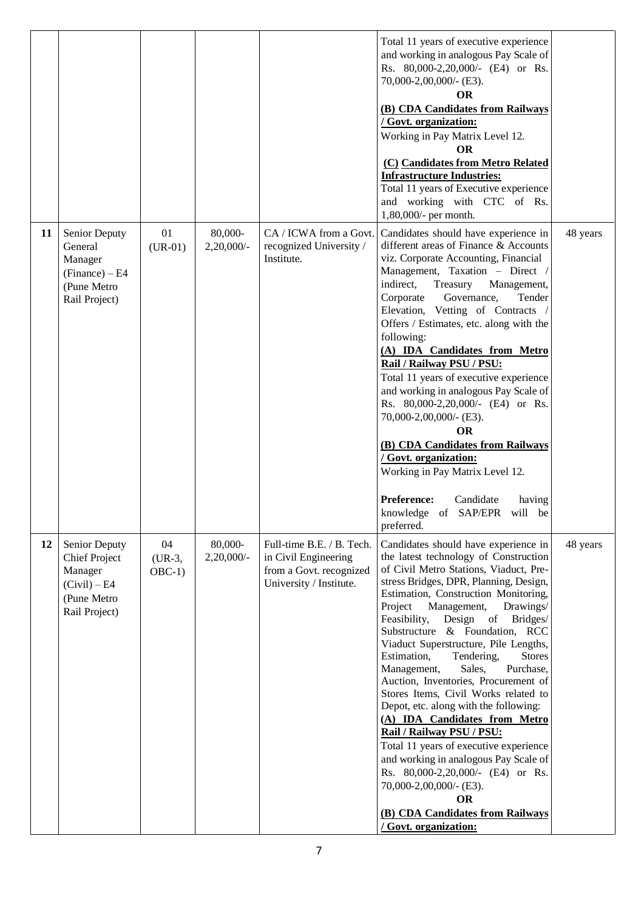|    |                                                                                                  |                            |                          |                                                                                                         | Total 11 years of executive experience<br>and working in analogous Pay Scale of<br>Rs. 80,000-2,20,000/- (E4) or Rs.<br>70,000-2,00,000/- (E3).<br><b>OR</b><br>(B) CDA Candidates from Railways<br>/ Govt. organization:<br>Working in Pay Matrix Level 12.<br><b>OR</b><br>(C) Candidates from Metro Related<br><b>Infrastructure Industries:</b><br>Total 11 years of Executive experience<br>and working with CTC of Rs.<br>1,80,000/- per month.                                                                                                                                                                                                                                                                                                                                                                                                                        |          |
|----|--------------------------------------------------------------------------------------------------|----------------------------|--------------------------|---------------------------------------------------------------------------------------------------------|------------------------------------------------------------------------------------------------------------------------------------------------------------------------------------------------------------------------------------------------------------------------------------------------------------------------------------------------------------------------------------------------------------------------------------------------------------------------------------------------------------------------------------------------------------------------------------------------------------------------------------------------------------------------------------------------------------------------------------------------------------------------------------------------------------------------------------------------------------------------------|----------|
| 11 | <b>Senior Deputy</b><br>General<br>Manager<br>$(Finance) - E4$<br>(Pune Metro<br>Rail Project)   | 01<br>$(UR-01)$            | 80,000-<br>2,20,000/-    | CA / ICWA from a Govt.<br>recognized University /<br>Institute.                                         | Candidates should have experience in<br>different areas of Finance & Accounts<br>viz. Corporate Accounting, Financial<br>Management, Taxation - Direct /<br>indirect,<br>Treasury<br>Management,<br>Governance,<br>Corporate<br>Tender<br>Elevation, Vetting of Contracts /<br>Offers / Estimates, etc. along with the<br>following:<br>(A) IDA Candidates from Metro<br>Rail / Railway PSU / PSU:<br>Total 11 years of executive experience<br>and working in analogous Pay Scale of<br>Rs. 80,000-2,20,000/- (E4) or Rs.<br>70,000-2,00,000/- (E3).<br><b>OR</b><br>(B) CDA Candidates from Railways<br>/ Govt. organization:<br>Working in Pay Matrix Level 12.<br>Preference:<br>Candidate<br>having<br>knowledge of SAP/EPR<br>will be<br>preferred.                                                                                                                    | 48 years |
| 12 | Senior Deputy<br><b>Chief Project</b><br>Manager<br>(Civil) – E4<br>(Pune Metro<br>Rail Project) | 04<br>$(UR-3,$<br>$OBC-1)$ | 80,000-<br>$2,20,000/$ - | Full-time B.E. / B. Tech.<br>in Civil Engineering<br>from a Govt. recognized<br>University / Institute. | Candidates should have experience in<br>the latest technology of Construction<br>of Civil Metro Stations, Viaduct, Pre-<br>stress Bridges, DPR, Planning, Design,<br>Estimation, Construction Monitoring,<br>Management,<br>Project<br>Drawings/<br>Feasibility,<br>Design of<br>Bridges/<br>Substructure & Foundation, RCC<br>Viaduct Superstructure, Pile Lengths,<br>Estimation,<br>Tendering,<br><b>Stores</b><br>Management,<br>Sales,<br>Purchase,<br>Auction, Inventories, Procurement of<br>Stores Items, Civil Works related to<br>Depot, etc. along with the following:<br>(A) IDA Candidates from Metro<br>Rail / Railway PSU / PSU:<br>Total 11 years of executive experience<br>and working in analogous Pay Scale of<br>Rs. 80,000-2,20,000/- (E4) or Rs.<br>70,000-2,00,000/- (E3).<br><b>OR</b><br>(B) CDA Candidates from Railways<br>/ Govt. organization: | 48 years |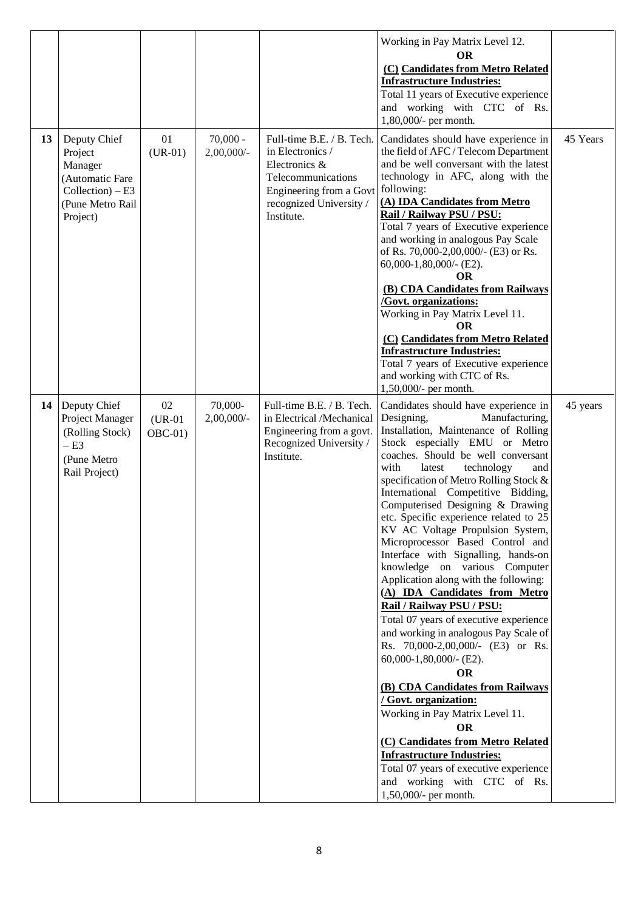|    |                                                                                                              |                             |                             |                                                                                                                                                          | Working in Pay Matrix Level 12.<br><b>OR</b><br>(C) Candidates from Metro Related<br><b>Infrastructure Industries:</b><br>Total 11 years of Executive experience<br>and working with CTC of Rs.<br>1,80,000/- per month.                                                                                                                                                                                                                                                                                                                                                                                                                                                                                                                                                                                                                                                                                                                                                                                                                                                                                                             |          |
|----|--------------------------------------------------------------------------------------------------------------|-----------------------------|-----------------------------|----------------------------------------------------------------------------------------------------------------------------------------------------------|--------------------------------------------------------------------------------------------------------------------------------------------------------------------------------------------------------------------------------------------------------------------------------------------------------------------------------------------------------------------------------------------------------------------------------------------------------------------------------------------------------------------------------------------------------------------------------------------------------------------------------------------------------------------------------------------------------------------------------------------------------------------------------------------------------------------------------------------------------------------------------------------------------------------------------------------------------------------------------------------------------------------------------------------------------------------------------------------------------------------------------------|----------|
| 13 | Deputy Chief<br>Project<br>Manager<br>(Automatic Fare<br>$Collection$ ) – E3<br>(Pune Metro Rail<br>Project) | 01<br>$(UR-01)$             | $70,000 -$<br>$2,00,000/$ - | Full-time B.E. / B. Tech.<br>in Electronics /<br>Electronics &<br>Telecommunications<br>Engineering from a Govt<br>recognized University /<br>Institute. | Candidates should have experience in<br>the field of AFC / Telecom Department<br>and be well conversant with the latest<br>technology in AFC, along with the<br>following:<br>(A) IDA Candidates from Metro<br>Rail / Railway PSU / PSU:<br>Total 7 years of Executive experience<br>and working in analogous Pay Scale<br>of Rs. 70,000-2,00,000/- (E3) or Rs.<br>$60,000-1,80,000/$ - (E2).<br>OR<br>(B) CDA Candidates from Railways<br>/Govt. organizations:<br>Working in Pay Matrix Level 11.<br><b>OR</b><br>(C) Candidates from Metro Related<br><b>Infrastructure Industries:</b><br>Total 7 years of Executive experience<br>and working with CTC of Rs.                                                                                                                                                                                                                                                                                                                                                                                                                                                                   | 45 Years |
| 14 | Deputy Chief<br>Project Manager<br>(Rolling Stock)<br>$-E3$<br>(Pune Metro<br>Rail Project)                  | 02<br>$(UR-01)$<br>$OBC-01$ | 70,000-<br>$2,00,000/$ -    | Full-time B.E. / B. Tech.<br>in Electrical /Mechanical<br>Engineering from a govt.<br>Recognized University /<br>Institute.                              | 1,50,000/- per month.<br>Candidates should have experience in<br>Designing,<br>Manufacturing,<br>Installation, Maintenance of Rolling<br>Stock especially EMU or Metro<br>coaches. Should be well conversant<br>with<br>latest<br>technology<br>and<br>specification of Metro Rolling Stock &<br>International Competitive Bidding,<br>Computerised Designing & Drawing<br>etc. Specific experience related to 25<br>KV AC Voltage Propulsion System,<br>Microprocessor Based Control and<br>Interface with Signalling, hands-on<br>knowledge on various Computer<br>Application along with the following:<br>(A) IDA Candidates from Metro<br>Rail / Railway PSU / PSU:<br>Total 07 years of executive experience<br>and working in analogous Pay Scale of<br>Rs. 70,000-2,00,000/- (E3) or Rs.<br>$60,000-1,80,000/$ - (E2).<br><b>OR</b><br>(B) CDA Candidates from Railways<br>/ Govt. organization:<br>Working in Pay Matrix Level 11.<br><b>OR</b><br>(C) Candidates from Metro Related<br><b>Infrastructure Industries:</b><br>Total 07 years of executive experience<br>and working with CTC of Rs.<br>1,50,000/- per month. | 45 years |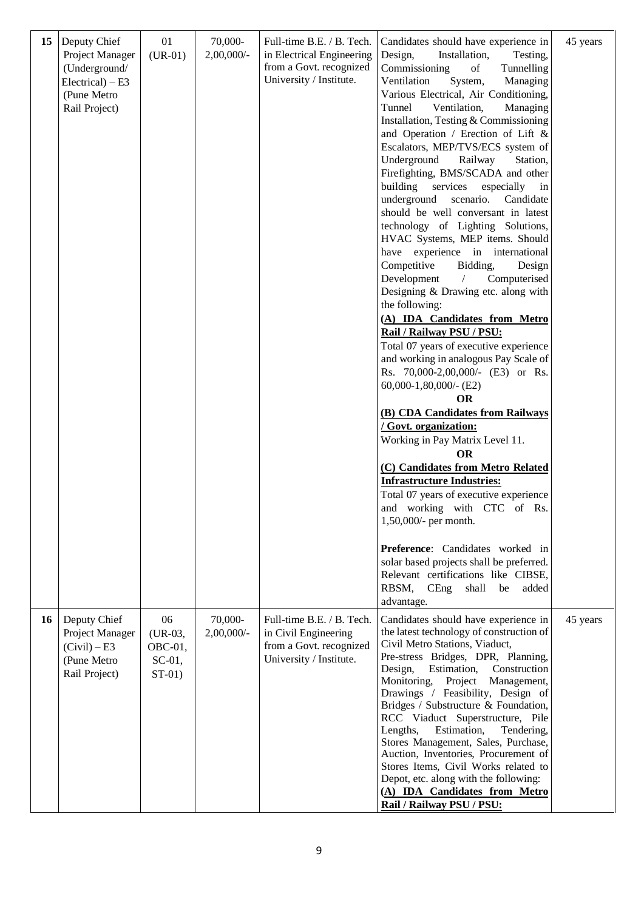| 15 | Deputy Chief<br>Project Manager<br>(Underground/<br>$Electrical$ ) – E3<br>(Pune Metro<br>Rail Project) | 01<br>$(UR-01)$                                        | 70,000-<br>$2,00,000/$ - | Full-time B.E. / B. Tech.<br>in Electrical Engineering<br>from a Govt. recognized<br>University / Institute. | Candidates should have experience in<br>Design,<br>Installation,<br>Testing,<br>Commissioning<br>Tunnelling<br>of<br>Ventilation<br>System,<br>Managing<br>Various Electrical, Air Conditioning,<br>Tunnel<br>Ventilation,<br>Managing<br>Installation, Testing & Commissioning<br>and Operation / Erection of Lift &<br>Escalators, MEP/TVS/ECS system of<br>Underground<br>Railway<br>Station,<br>Firefighting, BMS/SCADA and other<br>building<br>services<br>especially<br>in<br>underground<br>scenario.<br>Candidate<br>should be well conversant in latest<br>technology of Lighting Solutions,<br>HVAC Systems, MEP items. Should<br>have experience in international<br>Competitive<br>Bidding,<br>Design<br>Development<br>Computerised<br>$\sqrt{2}$<br>Designing & Drawing etc. along with<br>the following:<br>(A) IDA Candidates from Metro<br>Rail / Railway PSU / PSU:<br>Total 07 years of executive experience<br>and working in analogous Pay Scale of<br>Rs. 70,000-2,00,000/- (E3) or Rs.<br>$60,000-1,80,000/$ - (E2)<br><b>OR</b><br>(B) CDA Candidates from Railways<br>/ Govt. organization:<br>Working in Pay Matrix Level 11.<br><b>OR</b><br>(C) Candidates from Metro Related<br><b>Infrastructure Industries:</b><br>Total 07 years of executive experience<br>and working with CTC of Rs.<br>$1,50,000/$ - per month.<br>Preference: Candidates worked in<br>solar based projects shall be preferred.<br>Relevant certifications like CIBSE,<br>RBSM, CEng<br>shall<br>be<br>added<br>advantage. | 45 years |
|----|---------------------------------------------------------------------------------------------------------|--------------------------------------------------------|--------------------------|--------------------------------------------------------------------------------------------------------------|---------------------------------------------------------------------------------------------------------------------------------------------------------------------------------------------------------------------------------------------------------------------------------------------------------------------------------------------------------------------------------------------------------------------------------------------------------------------------------------------------------------------------------------------------------------------------------------------------------------------------------------------------------------------------------------------------------------------------------------------------------------------------------------------------------------------------------------------------------------------------------------------------------------------------------------------------------------------------------------------------------------------------------------------------------------------------------------------------------------------------------------------------------------------------------------------------------------------------------------------------------------------------------------------------------------------------------------------------------------------------------------------------------------------------------------------------------------------------------------------------------------------------------|----------|
| 16 | Deputy Chief<br>Project Manager<br>(Civil) – E3<br>(Pune Metro<br>Rail Project)                         | 06<br>$(UR-03,$<br>$OBC-01$ ,<br>$SC-01$ ,<br>$ST-01)$ | 70,000-<br>$2,00,000/$ - | Full-time B.E. / B. Tech.<br>in Civil Engineering<br>from a Govt. recognized<br>University / Institute.      | Candidates should have experience in<br>the latest technology of construction of<br>Civil Metro Stations, Viaduct,<br>Pre-stress Bridges, DPR, Planning,<br>Estimation,<br>Construction<br>Design,<br>Project Management,<br>Monitoring,<br>Drawings / Feasibility, Design of<br>Bridges / Substructure & Foundation,<br>RCC Viaduct Superstructure, Pile<br>Lengths,<br>Estimation,<br>Tendering,<br>Stores Management, Sales, Purchase,<br>Auction, Inventories, Procurement of<br>Stores Items, Civil Works related to<br>Depot, etc. along with the following:<br>(A) IDA Candidates from Metro<br>Rail / Railway PSU / PSU:                                                                                                                                                                                                                                                                                                                                                                                                                                                                                                                                                                                                                                                                                                                                                                                                                                                                                                | 45 years |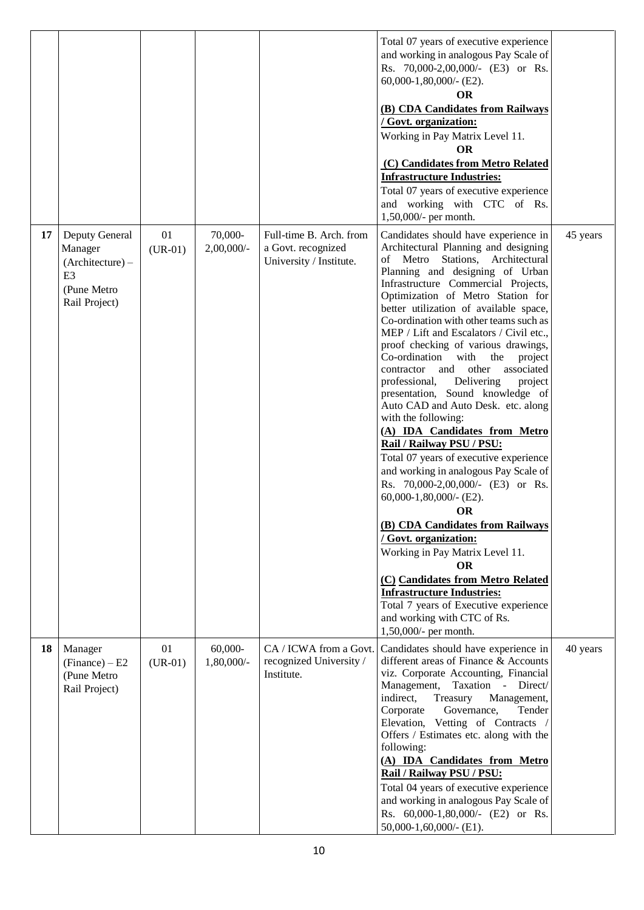|    |                                                                                                   |                 |                           |                                                                          | Total 07 years of executive experience<br>and working in analogous Pay Scale of<br>Rs. 70,000-2,00,000/- (E3) or Rs.<br>$60,000-1,80,000/$ - (E2).<br><b>OR</b><br>(B) CDA Candidates from Railways<br>/ Govt. organization:<br>Working in Pay Matrix Level 11.<br><b>OR</b><br>(C) Candidates from Metro Related<br><b>Infrastructure Industries:</b><br>Total 07 years of executive experience<br>and working with CTC of Rs.<br>1,50,000/- per month.                                                                                                                                                                                                                                                                                                                                                                                                                                                                                                                                                                                                                                                                                                  |          |
|----|---------------------------------------------------------------------------------------------------|-----------------|---------------------------|--------------------------------------------------------------------------|-----------------------------------------------------------------------------------------------------------------------------------------------------------------------------------------------------------------------------------------------------------------------------------------------------------------------------------------------------------------------------------------------------------------------------------------------------------------------------------------------------------------------------------------------------------------------------------------------------------------------------------------------------------------------------------------------------------------------------------------------------------------------------------------------------------------------------------------------------------------------------------------------------------------------------------------------------------------------------------------------------------------------------------------------------------------------------------------------------------------------------------------------------------|----------|
| 17 | Deputy General<br>Manager<br>$(Architecture) -$<br>E <sub>3</sub><br>(Pune Metro<br>Rail Project) | 01<br>$(UR-01)$ | 70,000-<br>$2,00,000/$ -  | Full-time B. Arch. from<br>a Govt. recognized<br>University / Institute. | Candidates should have experience in<br>Architectural Planning and designing<br>of Metro Stations, Architectural<br>Planning and designing of Urban<br>Infrastructure Commercial Projects,<br>Optimization of Metro Station for<br>better utilization of available space,<br>Co-ordination with other teams such as<br>MEP / Lift and Escalators / Civil etc.,<br>proof checking of various drawings,<br>Co-ordination<br>with<br>the<br>project<br>associated<br>contractor<br>and<br>other<br>Delivering<br>professional,<br>project<br>presentation, Sound knowledge of<br>Auto CAD and Auto Desk. etc. along<br>with the following:<br>(A) IDA Candidates from Metro<br>Rail / Railway PSU / PSU:<br>Total 07 years of executive experience<br>and working in analogous Pay Scale of<br>Rs. 70,000-2,00,000/- (E3) or Rs.<br>$60,000-1,80,000/$ - (E2).<br>OR<br>(B) CDA Candidates from Railways<br>/ Govt. organization:<br>Working in Pay Matrix Level 11.<br><b>OR</b><br>(C) Candidates from Metro Related<br><b>Infrastructure Industries:</b><br>Total 7 years of Executive experience<br>and working with CTC of Rs.<br>1,50,000/- per month. | 45 years |
| 18 | Manager<br>$(Finance) - E2$<br>(Pune Metro<br>Rail Project)                                       | 01<br>$(UR-01)$ | $60,000-$<br>$1,80,000/-$ | CA / ICWA from a Govt.<br>recognized University /<br>Institute.          | Candidates should have experience in<br>different areas of Finance & Accounts<br>viz. Corporate Accounting, Financial<br>Management,<br>Taxation - Direct/<br>indirect,<br>Treasury<br>Management,<br>Corporate<br>Governance,<br>Tender<br>Elevation, Vetting of Contracts /<br>Offers / Estimates etc. along with the<br>following:<br>(A) IDA Candidates from Metro<br>Rail / Railway PSU / PSU:<br>Total 04 years of executive experience<br>and working in analogous Pay Scale of<br>Rs. 60,000-1,80,000/- (E2) or Rs.<br>50,000-1,60,000/- (E1).                                                                                                                                                                                                                                                                                                                                                                                                                                                                                                                                                                                                    | 40 years |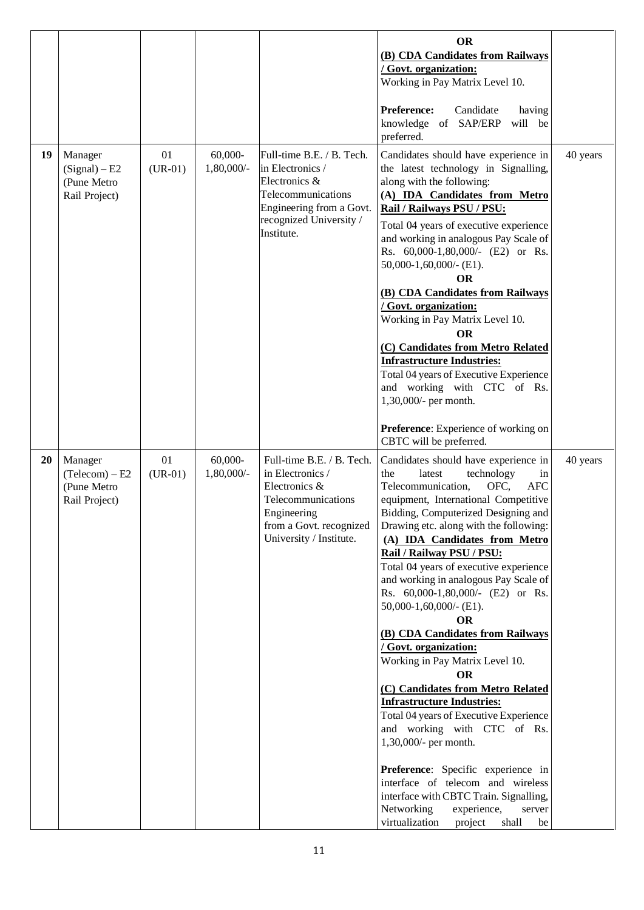|           |                                                           |                 |                         |                                                                                                                                                           | <b>OR</b><br>(B) CDA Candidates from Railways<br>/ Govt. organization:<br>Working in Pay Matrix Level 10.<br><b>Preference:</b><br>Candidate<br>having<br>knowledge of SAP/ERP<br>will be<br>preferred.                                                                                                                                                                                                                                                                                                                                                                                                                                                                                                                                                                                                                                                                                                                                                                                                     |          |
|-----------|-----------------------------------------------------------|-----------------|-------------------------|-----------------------------------------------------------------------------------------------------------------------------------------------------------|-------------------------------------------------------------------------------------------------------------------------------------------------------------------------------------------------------------------------------------------------------------------------------------------------------------------------------------------------------------------------------------------------------------------------------------------------------------------------------------------------------------------------------------------------------------------------------------------------------------------------------------------------------------------------------------------------------------------------------------------------------------------------------------------------------------------------------------------------------------------------------------------------------------------------------------------------------------------------------------------------------------|----------|
| 19        | Manager<br>(Signal) – E2<br>(Pune Metro<br>Rail Project)  | 01<br>$(UR-01)$ | $60,000-$<br>1,80,000/- | Full-time B.E. / B. Tech.<br>in Electronics /<br>Electronics &<br>Telecommunications<br>Engineering from a Govt.<br>recognized University /<br>Institute. | Candidates should have experience in<br>the latest technology in Signalling,<br>along with the following:<br>(A) IDA Candidates from Metro<br>Rail / Railways PSU / PSU:<br>Total 04 years of executive experience<br>and working in analogous Pay Scale of<br>Rs. 60,000-1,80,000/- (E2) or Rs.<br>$50,000-1,60,000/$ - (E1).<br><b>OR</b><br>(B) CDA Candidates from Railways<br>/ Govt. organization:<br>Working in Pay Matrix Level 10.<br><b>OR</b><br>(C) Candidates from Metro Related<br><b>Infrastructure Industries:</b><br>Total 04 years of Executive Experience<br>and working with CTC of Rs.<br>1,30,000/- per month.<br>Preference: Experience of working on                                                                                                                                                                                                                                                                                                                                | 40 years |
| <b>20</b> | Manager<br>(Telecom) – E2<br>(Pune Metro<br>Rail Project) | 01<br>$(UR-01)$ | $60,000-$<br>1,80,000/- | Full-time B.E. / B. Tech.<br>in Electronics /<br>Electronics &<br>Telecommunications<br>Engineering<br>from a Govt. recognized<br>University / Institute. | CBTC will be preferred.<br>Candidates should have experience in<br>the<br>latest<br>technology<br>in<br>OFC,<br>Telecommunication,<br><b>AFC</b><br>equipment, International Competitive<br>Bidding, Computerized Designing and<br>Drawing etc. along with the following:<br>(A) IDA Candidates from Metro<br>Rail / Railway PSU / PSU:<br>Total 04 years of executive experience<br>and working in analogous Pay Scale of<br>Rs. 60,000-1,80,000/- (E2) or Rs.<br>$50,000-1,60,000/$ - (E1).<br><b>OR</b><br>(B) CDA Candidates from Railways<br>/ Govt. organization:<br>Working in Pay Matrix Level 10.<br><b>OR</b><br>(C) Candidates from Metro Related<br><b>Infrastructure Industries:</b><br>Total 04 years of Executive Experience<br>and working with CTC of Rs.<br>1,30,000/- per month.<br>Preference: Specific experience in<br>interface of telecom and wireless<br>interface with CBTC Train. Signalling,<br>Networking<br>experience,<br>server<br>virtualization<br>project<br>shall<br>be | 40 years |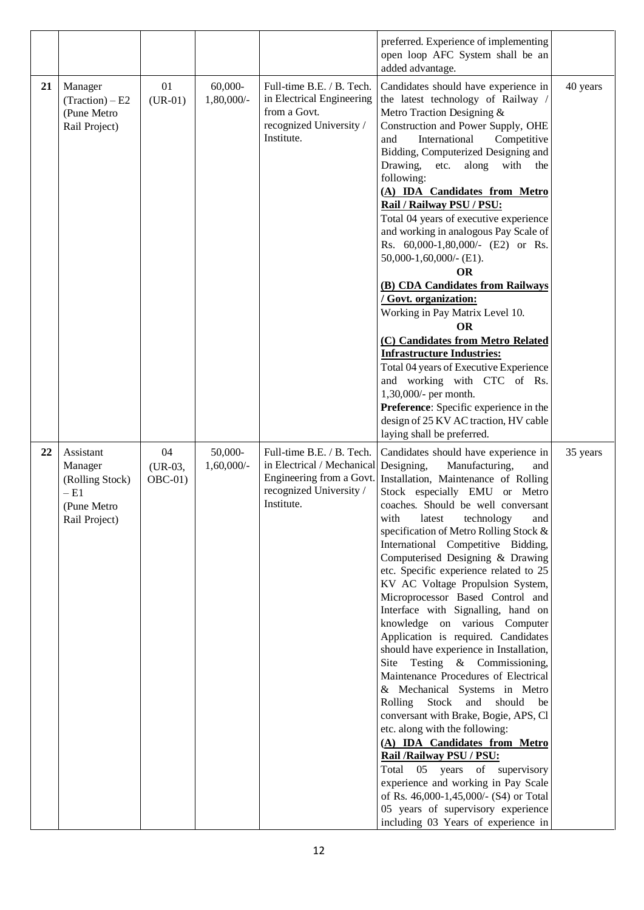|    |                                                                                  |                             |                         |                                                                                                                                         | preferred. Experience of implementing<br>open loop AFC System shall be an<br>added advantage.                                                                                                                                                                                                                                                                                                                                                                                                                                                                                                                                                                                                                                                                                                                                                                                                                                                                                                                                                                                                                     |          |
|----|----------------------------------------------------------------------------------|-----------------------------|-------------------------|-----------------------------------------------------------------------------------------------------------------------------------------|-------------------------------------------------------------------------------------------------------------------------------------------------------------------------------------------------------------------------------------------------------------------------------------------------------------------------------------------------------------------------------------------------------------------------------------------------------------------------------------------------------------------------------------------------------------------------------------------------------------------------------------------------------------------------------------------------------------------------------------------------------------------------------------------------------------------------------------------------------------------------------------------------------------------------------------------------------------------------------------------------------------------------------------------------------------------------------------------------------------------|----------|
| 21 | Manager<br>$(Traction) - E2$<br>(Pune Metro<br>Rail Project)                     | 01<br>$(UR-01)$             | $60,000-$<br>1,80,000/- | Full-time B.E. / B. Tech.<br>in Electrical Engineering<br>from a Govt.<br>recognized University /<br>Institute.                         | Candidates should have experience in<br>the latest technology of Railway /<br>Metro Traction Designing &<br>Construction and Power Supply, OHE<br>International<br>and<br>Competitive<br>Bidding, Computerized Designing and<br>Drawing,<br>along<br>with<br>etc.<br>the<br>following:<br>(A) IDA Candidates from Metro<br>Rail / Railway PSU / PSU:<br>Total 04 years of executive experience<br>and working in analogous Pay Scale of<br>Rs. 60,000-1,80,000/- (E2) or Rs.<br>$50,000-1,60,000/$ - (E1).<br><b>OR</b><br>(B) CDA Candidates from Railways<br>/ Govt. organization:<br>Working in Pay Matrix Level 10.<br><b>OR</b><br>(C) Candidates from Metro Related<br><b>Infrastructure Industries:</b><br>Total 04 years of Executive Experience<br>and working with CTC of Rs.<br>1,30,000/- per month.<br>Preference: Specific experience in the<br>design of 25 KV AC traction, HV cable<br>laying shall be preferred.                                                                                                                                                                                 | 40 years |
| 22 | Assistant<br>Manager<br>(Rolling Stock)<br>$-E1$<br>(Pune Metro<br>Rail Project) | 04<br>$(UR-03,$<br>$OBC-01$ | 50,000-<br>$1,60,000/-$ | Full-time B.E. / B. Tech.<br>in Electrical / Mechanical Designing,<br>Engineering from a Govt.<br>recognized University /<br>Institute. | Candidates should have experience in<br>Manufacturing,<br>and<br>Installation, Maintenance of Rolling<br>Stock especially EMU or Metro<br>coaches. Should be well conversant<br>with<br>and<br>technology<br>latest<br>specification of Metro Rolling Stock &<br>International Competitive Bidding,<br>Computerised Designing & Drawing<br>etc. Specific experience related to 25<br>KV AC Voltage Propulsion System,<br>Microprocessor Based Control and<br>Interface with Signalling, hand on<br>knowledge on various Computer<br>Application is required. Candidates<br>should have experience in Installation,<br>Testing & Commissioning,<br>Site<br>Maintenance Procedures of Electrical<br>& Mechanical Systems in Metro<br>Stock<br>and<br>should<br>Rolling<br>be<br>conversant with Brake, Bogie, APS, Cl<br>etc. along with the following:<br>(A) IDA Candidates from Metro<br>Rail /Railway PSU / PSU:<br>Total 05 years of supervisory<br>experience and working in Pay Scale<br>of Rs. 46,000-1,45,000/- (S4) or Total<br>05 years of supervisory experience<br>including 03 Years of experience in | 35 years |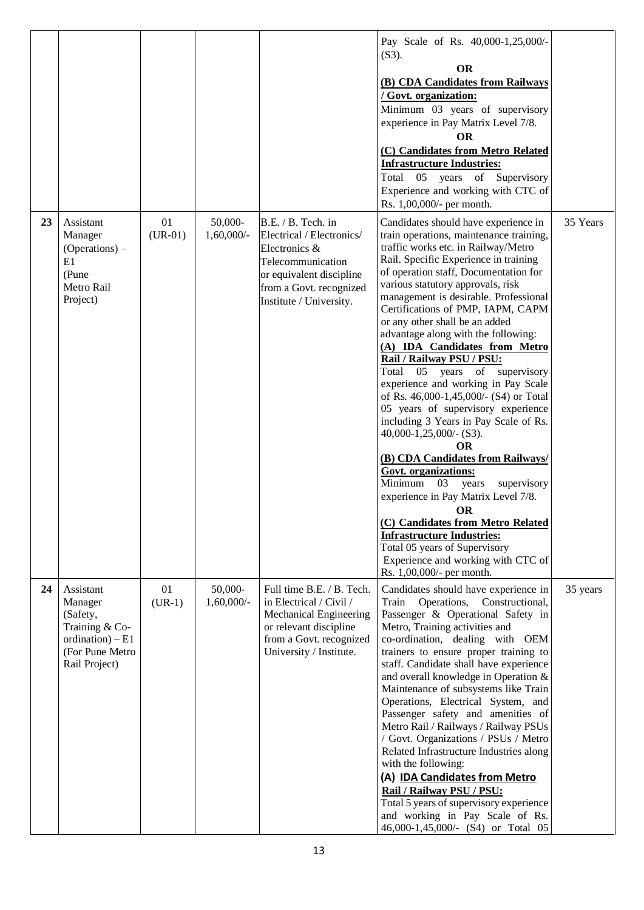|    |                                                                                                              |                 |                          |                                                                                                                                                                         | Pay Scale of Rs. 40,000-1,25,000/-<br>$(S3)$ .<br><b>OR</b><br>(B) CDA Candidates from Railways<br>/ Govt. organization:<br>Minimum 03 years of supervisory<br>experience in Pay Matrix Level 7/8.<br><b>OR</b><br>(C) Candidates from Metro Related<br><b>Infrastructure Industries:</b><br>Total<br>05 years of Supervisory<br>Experience and working with CTC of<br>Rs. 1,00,000/- per month.                                                                                                                                                                                                                                                                                                                                                                                                                                                                                                                                                                                                                                                              |          |
|----|--------------------------------------------------------------------------------------------------------------|-----------------|--------------------------|-------------------------------------------------------------------------------------------------------------------------------------------------------------------------|---------------------------------------------------------------------------------------------------------------------------------------------------------------------------------------------------------------------------------------------------------------------------------------------------------------------------------------------------------------------------------------------------------------------------------------------------------------------------------------------------------------------------------------------------------------------------------------------------------------------------------------------------------------------------------------------------------------------------------------------------------------------------------------------------------------------------------------------------------------------------------------------------------------------------------------------------------------------------------------------------------------------------------------------------------------|----------|
| 23 | Assistant<br>Manager<br>$(Operations)$ –<br>E1<br>(Pune<br>Metro Rail<br>Project)                            | 01<br>$(UR-01)$ | 50,000-<br>$1,60,000/$ - | B.E. / B. Tech. in<br>Electrical / Electronics/<br>Electronics &<br>Telecommunication<br>or equivalent discipline<br>from a Govt. recognized<br>Institute / University. | Candidates should have experience in<br>train operations, maintenance training,<br>traffic works etc. in Railway/Metro<br>Rail. Specific Experience in training<br>of operation staff, Documentation for<br>various statutory approvals, risk<br>management is desirable. Professional<br>Certifications of PMP, IAPM, CAPM<br>or any other shall be an added<br>advantage along with the following:<br>(A) IDA Candidates from Metro<br>Rail / Railway PSU / PSU:<br>05 years of supervisory<br>Total<br>experience and working in Pay Scale<br>of Rs. 46,000-1,45,000/- (S4) or Total<br>05 years of supervisory experience<br>including 3 Years in Pay Scale of Rs.<br>40,000-1,25,000/- (S3).<br><b>OR</b><br>(B) CDA Candidates from Railways/<br><b>Govt.</b> organizations:<br>Minimum<br>03<br>supervisory<br>years<br>experience in Pay Matrix Level 7/8.<br><b>OR</b><br>(C) Candidates from Metro Related<br><b>Infrastructure Industries:</b><br>Total 05 years of Supervisory<br>Experience and working with CTC of<br>Rs. 1,00,000/- per month. | 35 Years |
| 24 | Assistant<br>Manager<br>(Safety,<br>Training & Co-<br>ordination) $- E1$<br>(For Pune Metro<br>Rail Project) | 01<br>$(UR-1)$  | 50,000-<br>$1,60,000/$ - | Full time B.E. / B. Tech.<br>in Electrical / Civil /<br><b>Mechanical Engineering</b><br>or relevant discipline<br>from a Govt. recognized<br>University / Institute.   | Candidates should have experience in<br>Train Operations, Constructional,<br>Passenger & Operational Safety in<br>Metro, Training activities and<br>co-ordination, dealing with OEM<br>trainers to ensure proper training to<br>staff. Candidate shall have experience<br>and overall knowledge in Operation &<br>Maintenance of subsystems like Train<br>Operations, Electrical System, and<br>Passenger safety and amenities of<br>Metro Rail / Railways / Railway PSUs<br>/ Govt. Organizations / PSUs / Metro<br>Related Infrastructure Industries along<br>with the following:<br>(A) IDA Candidates from Metro<br>Rail / Railway PSU / PSU:<br>Total 5 years of supervisory experience<br>and working in Pay Scale of Rs.<br>46,000-1,45,000/- (S4) or Total 05                                                                                                                                                                                                                                                                                         | 35 years |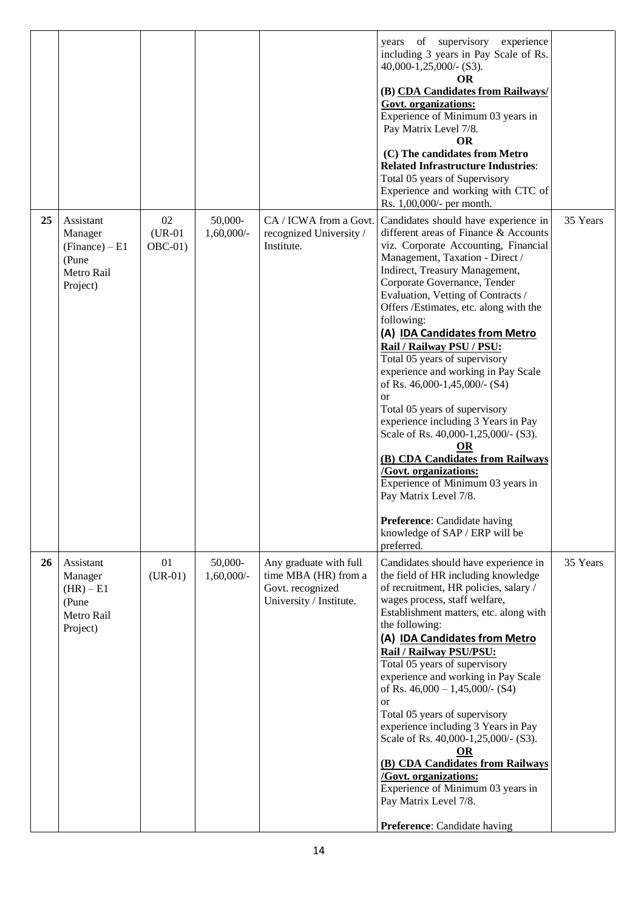|    |                                                                             |                             |                         |                                                                                               | years of supervisory experience<br>including 3 years in Pay Scale of Rs.<br>$40,000 - 1,25,000/-(S3)$ .<br>OR<br>(B) CDA Candidates from Railways/<br>Govt. organizations:<br>Experience of Minimum 03 years in<br>Pay Matrix Level 7/8.<br>OR<br>(C) The candidates from Metro<br><b>Related Infrastructure Industries:</b><br>Total 05 years of Supervisory<br>Experience and working with CTC of<br>Rs. 1,00,000/- per month.                                                                                                                                                                                                                                                                                                                                                                                                                         |          |
|----|-----------------------------------------------------------------------------|-----------------------------|-------------------------|-----------------------------------------------------------------------------------------------|----------------------------------------------------------------------------------------------------------------------------------------------------------------------------------------------------------------------------------------------------------------------------------------------------------------------------------------------------------------------------------------------------------------------------------------------------------------------------------------------------------------------------------------------------------------------------------------------------------------------------------------------------------------------------------------------------------------------------------------------------------------------------------------------------------------------------------------------------------|----------|
| 25 | Assistant<br>Manager<br>$(Finance) - E1$<br>(Pune<br>Metro Rail<br>Project) | 02<br>$(UR-01)$<br>$OBC-01$ | 50,000-<br>$1,60,000/-$ | CA / ICWA from a Govt.<br>recognized University /<br>Institute.                               | Candidates should have experience in<br>different areas of Finance & Accounts<br>viz. Corporate Accounting, Financial<br>Management, Taxation - Direct /<br>Indirect, Treasury Management,<br>Corporate Governance, Tender<br>Evaluation, Vetting of Contracts /<br>Offers /Estimates, etc. along with the<br>following:<br>(A) IDA Candidates from Metro<br>Rail / Railway PSU / PSU:<br>Total 05 years of supervisory<br>experience and working in Pay Scale<br>of Rs. 46,000-1,45,000/- (S4)<br><sub>or</sub><br>Total 05 years of supervisory<br>experience including 3 Years in Pay<br>Scale of Rs. 40,000-1,25,000/- (S3).<br>OR<br>(B) CDA Candidates from Railways<br><b>/Govt.</b> organizations:<br>Experience of Minimum 03 years in<br>Pay Matrix Level 7/8.<br>Preference: Candidate having<br>knowledge of SAP / ERP will be<br>preferred. | 35 Years |
| 26 | Assistant<br>Manager<br>$(HR) - E1$<br>(Pune<br>Metro Rail<br>Project)      | 01<br>$(UR-01)$             | 50,000-<br>$1,60,000/-$ | Any graduate with full<br>time MBA (HR) from a<br>Govt. recognized<br>University / Institute. | Candidates should have experience in<br>the field of HR including knowledge<br>of recruitment, HR policies, salary /<br>wages process, staff welfare,<br>Establishment matters, etc. along with<br>the following:<br>(A) IDA Candidates from Metro<br>Rail / Railway PSU/PSU:<br>Total 05 years of supervisory<br>experience and working in Pay Scale<br>of Rs. $46,000 - 1,45,000/$ - (S4)<br><b>or</b><br>Total 05 years of supervisory<br>experience including 3 Years in Pay<br>Scale of Rs. 40,000-1,25,000/- (S3).<br>$\overline{\text{OR}}$<br>(B) CDA Candidates from Railways<br><b>/Govt. organizations:</b><br>Experience of Minimum 03 years in<br>Pay Matrix Level 7/8.<br>Preference: Candidate having                                                                                                                                     | 35 Years |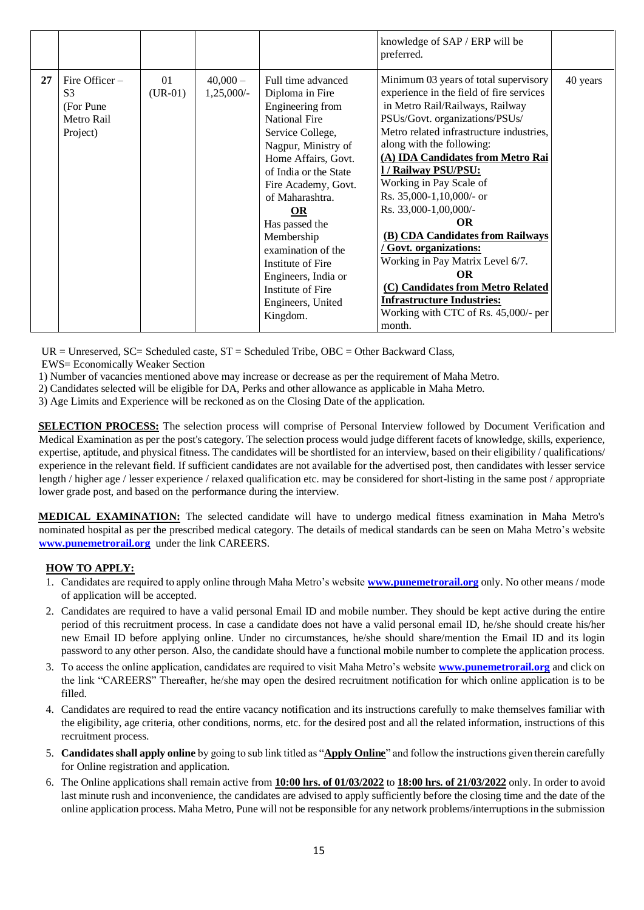|    |                                                                            |                 |                           |                                                                                                                                                                                                                                                                                                                                                                                             | knowledge of SAP / ERP will be<br>preferred.                                                                                                                                                                                                                                                                                                                                                                                                                                                                                                                                                                                      |          |
|----|----------------------------------------------------------------------------|-----------------|---------------------------|---------------------------------------------------------------------------------------------------------------------------------------------------------------------------------------------------------------------------------------------------------------------------------------------------------------------------------------------------------------------------------------------|-----------------------------------------------------------------------------------------------------------------------------------------------------------------------------------------------------------------------------------------------------------------------------------------------------------------------------------------------------------------------------------------------------------------------------------------------------------------------------------------------------------------------------------------------------------------------------------------------------------------------------------|----------|
| 27 | Fire Officer $-$<br>S <sub>3</sub><br>(For Pune)<br>Metro Rail<br>Project) | 01<br>$(UR-01)$ | $40,000-$<br>$1,25,000/-$ | Full time advanced<br>Diploma in Fire<br>Engineering from<br><b>National Fire</b><br>Service College,<br>Nagpur, Ministry of<br>Home Affairs, Govt.<br>of India or the State<br>Fire Academy, Govt.<br>of Maharashtra.<br><b>OR</b><br>Has passed the<br>Membership<br>examination of the<br>Institute of Fire<br>Engineers, India or<br>Institute of Fire<br>Engineers, United<br>Kingdom. | Minimum 03 years of total supervisory<br>experience in the field of fire services<br>in Metro Rail/Railways, Railway<br>PSUs/Govt. organizations/PSUs/<br>Metro related infrastructure industries,<br>along with the following:<br>(A) IDA Candidates from Metro Rai<br>1/ Railway PSU/PSU:<br>Working in Pay Scale of<br>Rs. 35,000-1,10,000/- or<br>Rs. 33,000-1,00,000/-<br><b>OR</b><br>(B) CDA Candidates from Railways<br>Govt. organizations:<br>Working in Pay Matrix Level 6/7.<br><b>OR</b><br>(C) Candidates from Metro Related<br><b>Infrastructure Industries:</b><br>Working with CTC of Rs. 45,000/- per<br>month. | 40 years |

 $UR = Unreserved$ ,  $SC = Schedued$  caste,  $ST = Schedued$  Tribe,  $OBC = Other$  Backward Class,

EWS= Economically Weaker Section

1) Number of vacancies mentioned above may increase or decrease as per the requirement of Maha Metro.

2) Candidates selected will be eligible for DA, Perks and other allowance as applicable in Maha Metro.

3) Age Limits and Experience will be reckoned as on the Closing Date of the application.

**SELECTION PROCESS:** The selection process will comprise of Personal Interview followed by Document Verification and Medical Examination as per the post's category. The selection process would judge different facets of knowledge, skills, experience, expertise, aptitude, and physical fitness. The candidates will be shortlisted for an interview, based on their eligibility / qualifications/ experience in the relevant field. If sufficient candidates are not available for the advertised post, then candidates with lesser service length / higher age / lesser experience / relaxed qualification etc. may be considered for short-listing in the same post / appropriate lower grade post, and based on the performance during the interview.

**MEDICAL EXAMINATION:** The selected candidate will have to undergo medical fitness examination in Maha Metro's nominated hospital as per the prescribed medical category. The details of medical standards can be seen on Maha Metro's website **[www.punemetrorail.org](http://www.punemetrorail.org/)** under the link CAREERS.

## **HOW TO APPLY:**

- 1. Candidates are required to apply online through Maha Metro's website **www.punemetrorail.org** only. No other means / mode of application will be accepted.
- 2. Candidates are required to have a valid personal Email ID and mobile number. They should be kept active during the entire period of this recruitment process. In case a candidate does not have a valid personal email ID, he/she should create his/her new Email ID before applying online. Under no circumstances, he/she should share/mention the Email ID and its login password to any other person. Also, the candidate should have a functional mobile number to complete the application process.
- 3. To access the online application, candidates are required to visit Maha Metro's website **[www.punemetrorail.org](http://www.punemetrorail.org/)** and click on the link "CAREERS" Thereafter, he/she may open the desired recruitment notification for which online application is to be filled.
- 4. Candidates are required to read the entire vacancy notification and its instructions carefully to make themselves familiar with the eligibility, age criteria, other conditions, norms, etc. for the desired post and all the related information, instructions of this recruitment process.
- 5. **Candidates shall apply online** by going to sub link titled as "**Apply Online**" and follow the instructions given therein carefully for Online registration and application.
- 6. The Online applications shall remain active from **10:00 hrs. of 01/03/2022** to **18:00 hrs. of 21/03/2022** only. In order to avoid last minute rush and inconvenience, the candidates are advised to apply sufficiently before the closing time and the date of the online application process. Maha Metro, Pune will not be responsible for any network problems/interruptionsin the submission